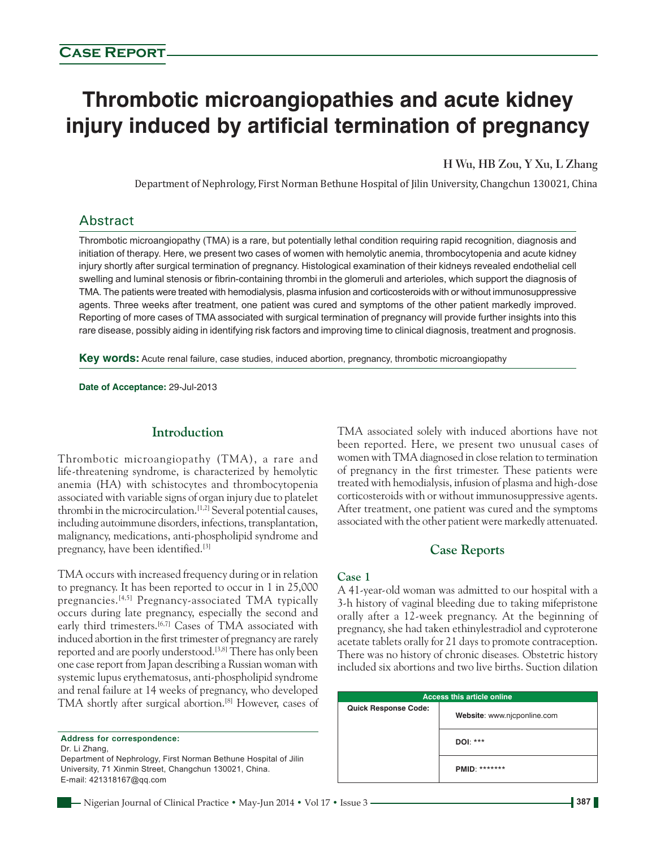# **Thrombotic microangiopathies and acute kidney injury induced by artificial termination of pregnancy**

**H Wu, HB Zou, Y Xu, L Zhang**

Department of Nephrology, First Norman Bethune Hospital of Jilin University, Changchun 130021, China

# Abstract

Thrombotic microangiopathy (TMA) is a rare, but potentially lethal condition requiring rapid recognition, diagnosis and initiation of therapy. Here, we present two cases of women with hemolytic anemia, thrombocytopenia and acute kidney injury shortly after surgical termination of pregnancy. Histological examination of their kidneys revealed endothelial cell swelling and luminal stenosis or fibrin‑containing thrombi in the glomeruli and arterioles, which support the diagnosis of TMA. The patients were treated with hemodialysis, plasma infusion and corticosteroids with or without immunosuppressive agents. Three weeks after treatment, one patient was cured and symptoms of the other patient markedly improved. Reporting of more cases of TMA associated with surgical termination of pregnancy will provide further insights into this rare disease, possibly aiding in identifying risk factors and improving time to clinical diagnosis, treatment and prognosis.

**Key words:** Acute renal failure, case studies, induced abortion, pregnancy, thrombotic microangiopathy

**Date of Acceptance:** 29‑Jul‑2013

## **Introduction**

Thrombotic microangiopathy (TMA), a rare and life‑threatening syndrome, is characterized by hemolytic anemia (HA) with schistocytes and thrombocytopenia associated with variable signs of organ injury due to platelet thrombi in the microcirculation.<sup>[1,2]</sup> Several potential causes, including autoimmune disorders, infections, transplantation, malignancy, medications, anti‑phospholipid syndrome and pregnancy, have been identified.[3]

TMA occurs with increased frequency during or in relation to pregnancy. It has been reported to occur in 1 in 25,000 pregnancies.<sup>[4,5]</sup> Pregnancy-associated TMA typically occurs during late pregnancy, especially the second and early third trimesters.<sup>[6,7]</sup> Cases of TMA associated with induced abortion in the first trimester of pregnancy are rarely reported and are poorly understood.<sup>[3,8]</sup> There has only been one case report from Japan describing a Russian woman with systemic lupus erythematosus, anti‑phospholipid syndrome and renal failure at 14 weeks of pregnancy, who developed TMA shortly after surgical abortion.[8] However, cases of

Dr. Li Zhang,

Department of Nephrology, First Norman Bethune Hospital of Jilin University, 71 Xinmin Street, Changchun 130021, China. E‑mail: 421318167@qq.com

TMA associated solely with induced abortions have not been reported. Here, we present two unusual cases of women with TMA diagnosed in close relation to termination of pregnancy in the first trimester. These patients were treated with hemodialysis, infusion of plasma and high-dose corticosteroids with or without immunosuppressive agents. After treatment, one patient was cured and the symptoms associated with the other patient were markedly attenuated.

## **Case Reports**

#### **Case 1**

A 41‑year‑old woman was admitted to our hospital with a 3‑h history of vaginal bleeding due to taking mifepristone orally after a 12‑week pregnancy. At the beginning of pregnancy, she had taken ethinylestradiol and cyproterone acetate tablets orally for 21 days to promote contraception. There was no history of chronic diseases*.* Obstetric history included six abortions and two live births. Suction dilation

|                             | <b>Access this article online</b> |
|-----------------------------|-----------------------------------|
| <b>Quick Response Code:</b> | Website: www.njcponline.com       |
|                             | DOI: ***                          |
|                             | <b>PMID: *******</b>              |

**Address for correspondence:**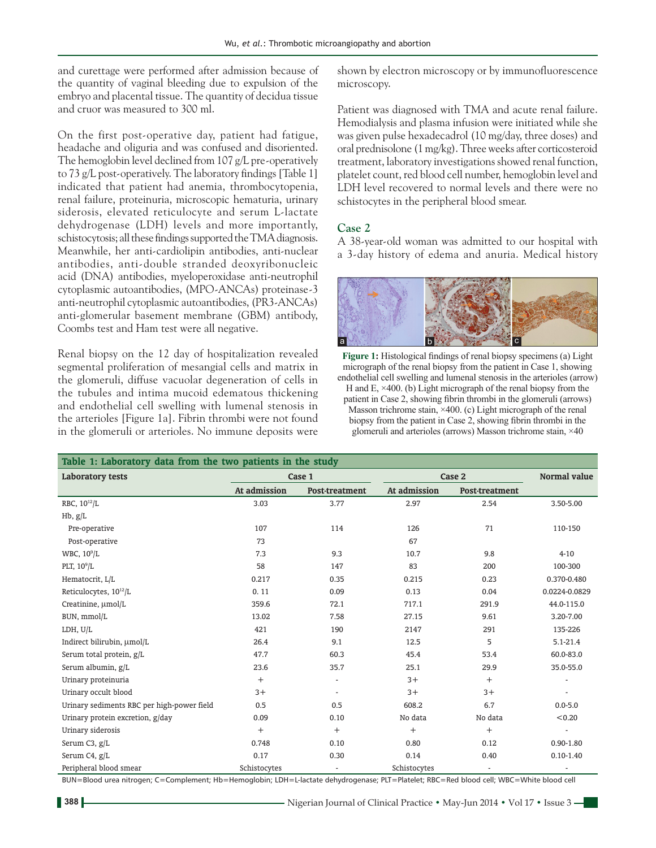and curettage were performed after admission because of the quantity of vaginal bleeding due to expulsion of the embryo and placental tissue. The quantity of decidua tissue and cruor was measured to 300 ml.

On the first post‑operative day, patient had fatigue, headache and oliguria and was confused and disoriented. The hemoglobin level declined from 107 g/L pre-operatively to  $73$  g/L post-operatively. The laboratory findings [Table 1] indicated that patient had anemia, thrombocytopenia, renal failure, proteinuria, microscopic hematuria, urinary siderosis, elevated reticulocyte and serum L-lactate dehydrogenase (LDH) levels and more importantly, schistocytosis; all these findings supported the TMA diagnosis. Meanwhile, her anti-cardiolipin antibodies, anti-nuclear antibodies, anti‑double stranded deoxyribonucleic acid (DNA) antibodies, myeloperoxidase anti‑neutrophil cytoplasmic autoantibodies, (MPO‑ANCAs) proteinase‑3 anti‑neutrophil cytoplasmic autoantibodies,(PR3‑ANCAs) anti‑glomerular basement membrane (GBM) antibody, Coombs test and Ham test were all negative.

Renal biopsy on the 12 day of hospitalization revealed segmental proliferation of mesangial cells and matrix in the glomeruli, diffuse vacuolar degeneration of cells in the tubules and intima mucoid edematous thickening and endothelial cell swelling with lumenal stenosis in the arterioles [Figure 1a]. Fibrin thrombi were not found in the glomeruli or arterioles. No immune deposits were shown by electron microscopy or by immunofluorescence microscopy.

Patient was diagnosed with TMA and acute renal failure. Hemodialysis and plasma infusion were initiated while she was given pulse hexadecadrol (10 mg/day, three doses) and oral prednisolone (1mg/kg). Three weeks after corticosteroid treatment, laboratory investigations showed renal function, platelet count, red blood cell number, hemoglobin level and LDH level recovered to normal levels and there were no schistocytes in the peripheral blood smear.

#### **Case 2**

A 38‑year‑old woman was admitted to our hospital with a 3‑day history of edema and anuria. Medical history



**Figure 1:** Histological findings of renal biopsy specimens (a) Light micrograph of the renal biopsy from the patient in Case 1, showing endothelial cell swelling and lumenal stenosis in the arterioles (arrow) H and E,  $\times$ 400. (b) Light micrograph of the renal biopsy from the patient in Case 2, showing fibrin thrombi in the glomeruli (arrows) Masson trichrome stain, ×400. (c) Light micrograph of the renal biopsy from the patient in Case 2, showing fibrin thrombi in the glomeruli and arterioles (arrows) Masson trichrome stain, ×40

| Table 1: Laboratory data from the two patients in the study |              |                       |              |                       |               |  |  |
|-------------------------------------------------------------|--------------|-----------------------|--------------|-----------------------|---------------|--|--|
| <b>Laboratory tests</b>                                     | Case 1       |                       | Case 2       |                       | Normal value  |  |  |
|                                                             | At admission | <b>Post-treatment</b> | At admission | <b>Post-treatment</b> |               |  |  |
| RBC, 10 <sup>12</sup> /L                                    | 3.03         | 3.77                  | 2.97         | 2.54                  | 3,50-5,00     |  |  |
| Hb, g/L                                                     |              |                       |              |                       |               |  |  |
| Pre-operative                                               | 107          | 114                   | 126          | 71                    | 110-150       |  |  |
| Post-operative                                              | 73           |                       | 67           |                       |               |  |  |
| WBC, $10^9$ /L                                              | 7.3          | 9.3                   | 10.7         | 9.8                   | $4 - 10$      |  |  |
| PLT, $10^9$ /L                                              | 58           | 147                   | 83           | 200                   | 100-300       |  |  |
| Hematocrit, L/L                                             | 0.217        | 0.35                  | 0.215        | 0.23                  | 0.370-0.480   |  |  |
| Reticulocytes, 10 <sup>12</sup> /L                          | 0.11         | 0.09                  | 0.13         | 0.04                  | 0.0224-0.0829 |  |  |
| Creatinine, umol/L                                          | 359.6        | 72.1                  | 717.1        | 291.9                 | 44.0-115.0    |  |  |
| BUN, mmol/L                                                 | 13.02        | 7.58                  | 27.15        | 9.61                  | 3.20-7.00     |  |  |
| LDH, U/L                                                    | 421          | 190                   | 2147         | 291                   | 135-226       |  |  |
| Indirect bilirubin, umol/L                                  | 26.4         | 9.1                   | 12.5         | 5                     | $5.1 - 21.4$  |  |  |
| Serum total protein, g/L                                    | 47.7         | 60.3                  | 45.4         | 53.4                  | 60.0-83.0     |  |  |
| Serum albumin, g/L                                          | 23.6         | 35.7                  | 25.1         | 29.9                  | 35.0-55.0     |  |  |
| Urinary proteinuria                                         | $+$          | $\overline{a}$        | $3+$         | $+$                   |               |  |  |
| Urinary occult blood                                        | $3+$         | $\sim$                | $3+$         | $3+$                  | ÷.            |  |  |
| Urinary sediments RBC per high-power field                  | 0.5          | 0.5                   | 608.2        | 6.7                   | $0.0 - 5.0$   |  |  |
| Urinary protein excretion, g/day                            | 0.09         | 0.10                  | No data      | No data               | < 0.20        |  |  |
| Urinary siderosis                                           | $+$          | $+$                   | $^{+}$       | $+$                   |               |  |  |
| Serum C3, g/L                                               | 0.748        | 0.10                  | 0.80         | 0.12                  | $0.90 - 1.80$ |  |  |
| Serum C4, g/L                                               | 0.17         | 0.30                  | 0.14         | 0.40                  | $0.10 - 1.40$ |  |  |
| Peripheral blood smear                                      | Schistocytes |                       | Schistocytes |                       |               |  |  |

BUN=Blood urea nitrogen; C=Complement; Hb=Hemoglobin; LDH=L‑lactate dehydrogenase; PLT=Platelet; RBC=Red blood cell; WBC=White blood cell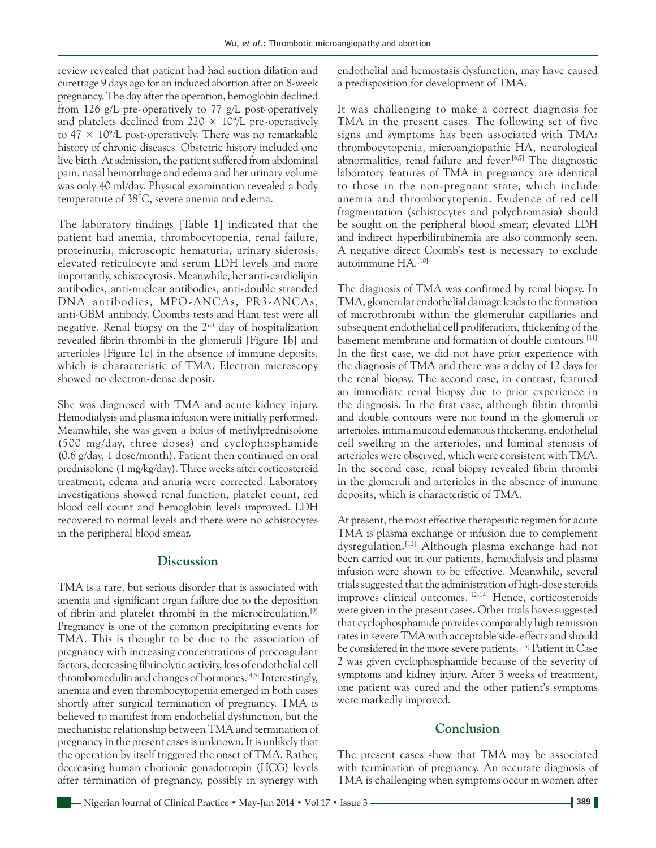review revealed that patient had had suction dilation and curettage 9 days ago for an induced abortion after an 8‑week pregnancy. The day after the operation, hemoglobin declined from 126  $g/L$  pre-operatively to 77  $g/L$  post-operatively and platelets declined from  $220 \times 10^9$ /L pre-operatively to  $47 \times 10^9$ /L post-operatively. There was no remarkable history of chronic diseases*.* Obstetric history included one live birth. At admission, the patient suffered from abdominal pain, nasal hemorrhage and edema and her urinary volume was only 40 ml/day. Physical examination revealed a body temperature of 38°C, severe anemia and edema.

The laboratory findings [Table 1] indicated that the patient had anemia, thrombocytopenia, renal failure, proteinuria, microscopic hematuria, urinary siderosis, elevated reticulocyte and serum LDH levels and more importantly, schistocytosis. Meanwhile, her anti-cardiolipin antibodies, anti‑nuclear antibodies, anti‑double stranded DNA antibodies, MPO ‑ANCAs, PR3‑ANCAs, anti-GBM antibody, Coombs tests and Ham test were all negative. Renal biopsy on the  $2<sup>nd</sup>$  day of hospitalization revealed fibrin thrombi in the glomeruli [Figure 1b] and arterioles [Figure 1c] in the absence of immune deposits, which is characteristic of TMA. Electron microscopy showed no electron-dense deposit.

She was diagnosed with TMA and acute kidney injury. Hemodialysis and plasma infusion were initially performed. Meanwhile, she was given a bolus of methylprednisolone (500 mg/day, three doses) and cyclophosphamide (0.6 g/day, 1 dose/month). Patient then continued on oral prednisolone (1 mg/kg/day). Three weeks after corticosteroid treatment, edema and anuria were corrected. Laboratory investigations showed renal function, platelet count, red blood cell count and hemoglobin levels improved. LDH recovered to normal levels and there were no schistocytes in the peripheral blood smear.

## **Discussion**

TMA is a rare, but serious disorder that is associated with anemia and significant organ failure due to the deposition of fibrin and platelet thrombi in the microcirculation.[9] Pregnancy is one of the common precipitating events for TMA. This is thought to be due to the association of pregnancy with increasing concentrations of procoagulant factors, decreasing fibrinolytic activity, loss of endothelial cell thrombomodulin and changes of hormones.[4,5] Interestingly, anemia and even thrombocytopenia emerged in both cases shortly after surgical termination of pregnancy. TMA is believed to manifest from endothelial dysfunction, but the mechanistic relationship between TMA and termination of pregnancy in the present cases is unknown. It is unlikely that the operation by itself triggered the onset of TMA. Rather, decreasing human chorionic gonadotropin (HCG) levels after termination of pregnancy, possibly in synergy with endothelial and hemostasis dysfunction, may have caused a predisposition for development of TMA.

It was challenging to make a correct diagnosis for TMA in the present cases. The following set of five signs and symptoms has been associated with TMA: thrombocytopenia, microangiopathic HA, neurological abnormalities, renal failure and fever.<sup>[6,7]</sup> The diagnostic laboratory features of TMA in pregnancy are identical to those in the non‑pregnant state, which include anemia and thrombocytopenia. Evidence of red cell fragmentation (schistocytes and polychromasia) should be sought on the peripheral blood smear; elevated LDH and indirect hyperbilirubinemia are also commonly seen. A negative direct Coomb's test is necessary to exclude autoimmune HA.[10]

The diagnosis of TMA was confirmed by renal biopsy. In TMA, glomerular endothelial damage leads to the formation of microthrombi within the glomerular capillaries and subsequent endothelial cell proliferation, thickening of the basement membrane and formation of double contours.[11] In the first case, we did not have prior experience with the diagnosis of TMA and there was a delay of 12 days for the renal biopsy. The second case, in contrast, featured an immediate renal biopsy due to prior experience in the diagnosis. In the first case, although fibrin thrombi and double contours were not found in the glomeruli or arterioles, intima mucoid edematous thickening, endothelial cell swelling in the arterioles, and luminal stenosis of arterioles were observed, which were consistent with TMA. In the second case, renal biopsy revealed fibrin thrombi in the glomeruli and arterioles in the absence of immune deposits, which is characteristic of TMA.

At present, the most effective therapeutic regimen for acute TMA is plasma exchange or infusion due to complement dysregulation.[12] Although plasma exchange had not been carried out in our patients, hemodialysis and plasma infusion were shown to be effective. Meanwhile, several trials suggested that the administration of high-dose steroids improves clinical outcomes.[12‑14] Hence, corticosteroids were given in the present cases. Other trials have suggested that cyclophosphamide provides comparably high remission rates in severe TMA with acceptable side‑effects and should be considered in the more severe patients.[15] Patient in Case 2 was given cyclophosphamide because of the severity of symptoms and kidney injury. After 3 weeks of treatment, one patient was cured and the other patient's symptoms were markedly improved.

## **Conclusion**

The present cases show that TMA may be associated with termination of pregnancy. An accurate diagnosis of TMA is challenging when symptoms occur in women after